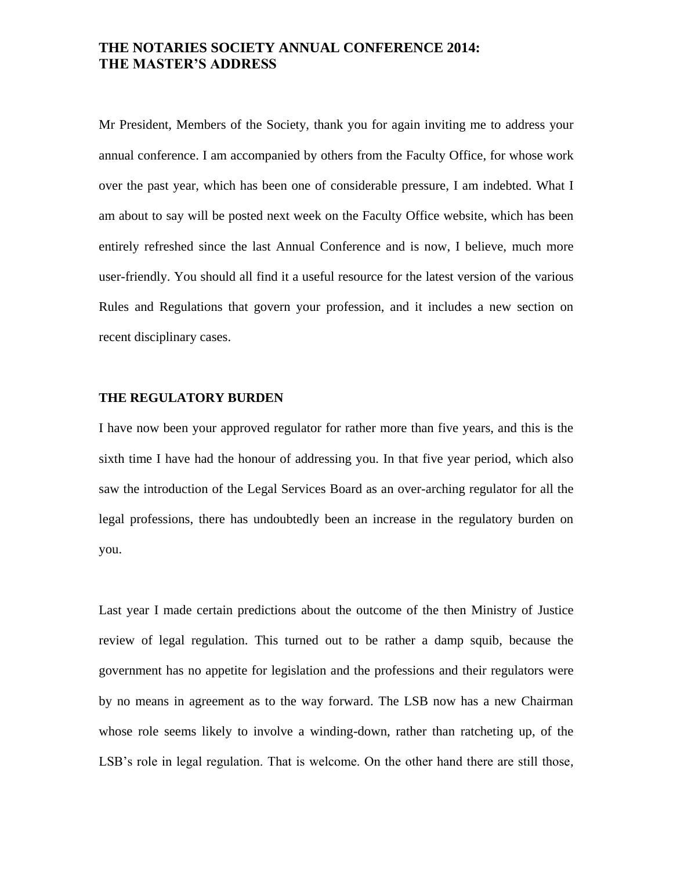# **THE NOTARIES SOCIETY ANNUAL CONFERENCE 2014: THE MASTER'S ADDRESS**

Mr President, Members of the Society, thank you for again inviting me to address your annual conference. I am accompanied by others from the Faculty Office, for whose work over the past year, which has been one of considerable pressure, I am indebted. What I am about to say will be posted next week on the Faculty Office website, which has been entirely refreshed since the last Annual Conference and is now, I believe, much more user-friendly. You should all find it a useful resource for the latest version of the various Rules and Regulations that govern your profession, and it includes a new section on recent disciplinary cases.

# **THE REGULATORY BURDEN**

I have now been your approved regulator for rather more than five years, and this is the sixth time I have had the honour of addressing you. In that five year period, which also saw the introduction of the Legal Services Board as an over-arching regulator for all the legal professions, there has undoubtedly been an increase in the regulatory burden on you.

Last year I made certain predictions about the outcome of the then Ministry of Justice review of legal regulation. This turned out to be rather a damp squib, because the government has no appetite for legislation and the professions and their regulators were by no means in agreement as to the way forward. The LSB now has a new Chairman whose role seems likely to involve a winding-down, rather than ratcheting up, of the LSB's role in legal regulation. That is welcome. On the other hand there are still those,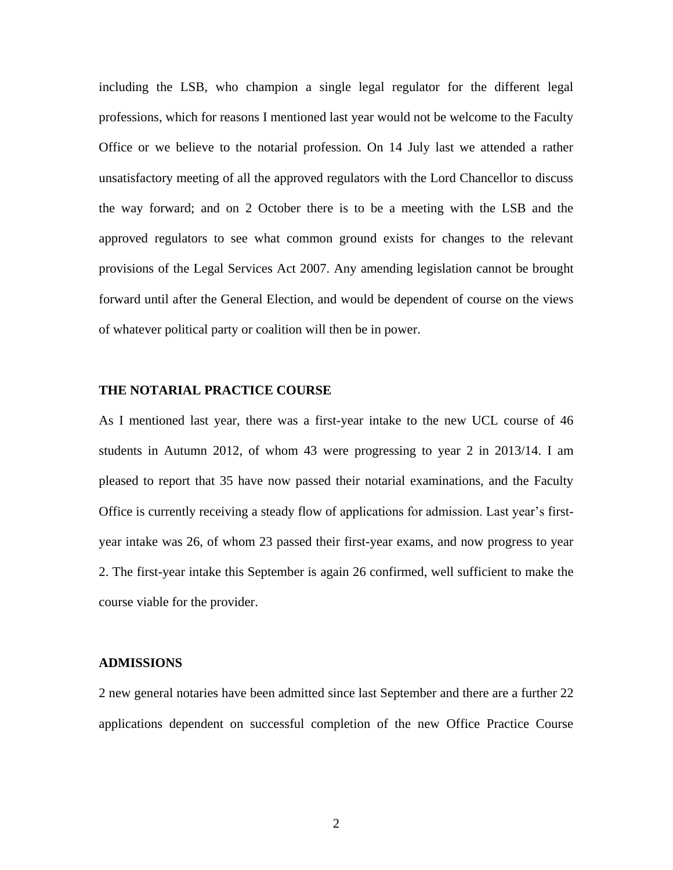including the LSB, who champion a single legal regulator for the different legal professions, which for reasons I mentioned last year would not be welcome to the Faculty Office or we believe to the notarial profession. On 14 July last we attended a rather unsatisfactory meeting of all the approved regulators with the Lord Chancellor to discuss the way forward; and on 2 October there is to be a meeting with the LSB and the approved regulators to see what common ground exists for changes to the relevant provisions of the Legal Services Act 2007. Any amending legislation cannot be brought forward until after the General Election, and would be dependent of course on the views of whatever political party or coalition will then be in power.

# **THE NOTARIAL PRACTICE COURSE**

As I mentioned last year, there was a first-year intake to the new UCL course of 46 students in Autumn 2012, of whom 43 were progressing to year 2 in 2013/14. I am pleased to report that 35 have now passed their notarial examinations, and the Faculty Office is currently receiving a steady flow of applications for admission. Last year's firstyear intake was 26, of whom 23 passed their first-year exams, and now progress to year 2. The first-year intake this September is again 26 confirmed, well sufficient to make the course viable for the provider.

# **ADMISSIONS**

2 new general notaries have been admitted since last September and there are a further 22 applications dependent on successful completion of the new Office Practice Course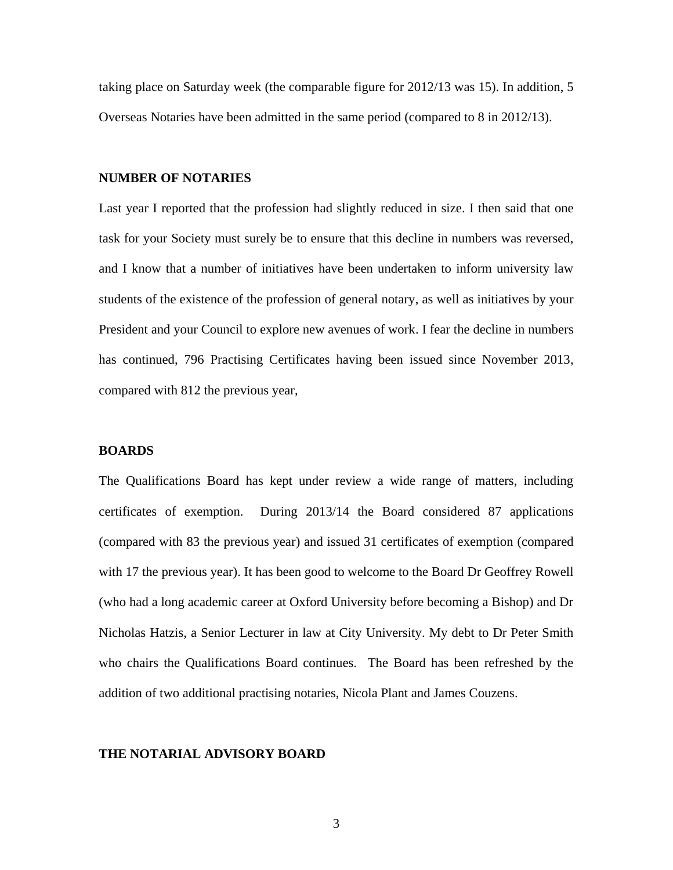taking place on Saturday week (the comparable figure for 2012/13 was 15). In addition, 5 Overseas Notaries have been admitted in the same period (compared to 8 in 2012/13).

#### **NUMBER OF NOTARIES**

Last year I reported that the profession had slightly reduced in size. I then said that one task for your Society must surely be to ensure that this decline in numbers was reversed, and I know that a number of initiatives have been undertaken to inform university law students of the existence of the profession of general notary, as well as initiatives by your President and your Council to explore new avenues of work. I fear the decline in numbers has continued, 796 Practising Certificates having been issued since November 2013, compared with 812 the previous year,

#### **BOARDS**

The Qualifications Board has kept under review a wide range of matters, including certificates of exemption. During 2013/14 the Board considered 87 applications (compared with 83 the previous year) and issued 31 certificates of exemption (compared with 17 the previous year). It has been good to welcome to the Board Dr Geoffrey Rowell (who had a long academic career at Oxford University before becoming a Bishop) and Dr Nicholas Hatzis, a Senior Lecturer in law at City University. My debt to Dr Peter Smith who chairs the Qualifications Board continues. The Board has been refreshed by the addition of two additional practising notaries, Nicola Plant and James Couzens.

#### **THE NOTARIAL ADVISORY BOARD**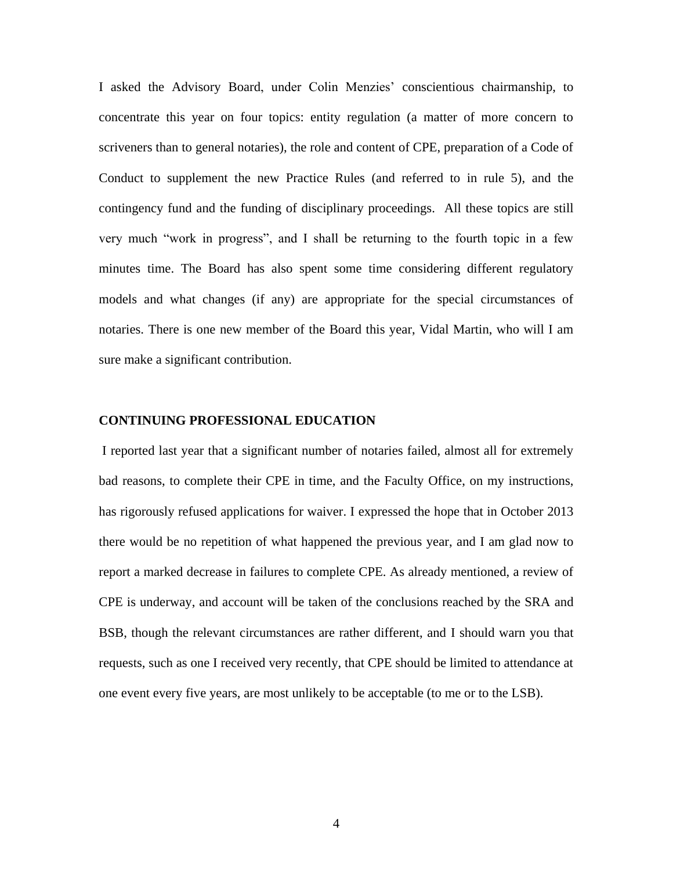I asked the Advisory Board, under Colin Menzies' conscientious chairmanship, to concentrate this year on four topics: entity regulation (a matter of more concern to scriveners than to general notaries), the role and content of CPE, preparation of a Code of Conduct to supplement the new Practice Rules (and referred to in rule 5), and the contingency fund and the funding of disciplinary proceedings. All these topics are still very much "work in progress", and I shall be returning to the fourth topic in a few minutes time. The Board has also spent some time considering different regulatory models and what changes (if any) are appropriate for the special circumstances of notaries. There is one new member of the Board this year, Vidal Martin, who will I am sure make a significant contribution.

#### **CONTINUING PROFESSIONAL EDUCATION**

I reported last year that a significant number of notaries failed, almost all for extremely bad reasons, to complete their CPE in time, and the Faculty Office, on my instructions, has rigorously refused applications for waiver. I expressed the hope that in October 2013 there would be no repetition of what happened the previous year, and I am glad now to report a marked decrease in failures to complete CPE. As already mentioned, a review of CPE is underway, and account will be taken of the conclusions reached by the SRA and BSB, though the relevant circumstances are rather different, and I should warn you that requests, such as one I received very recently, that CPE should be limited to attendance at one event every five years, are most unlikely to be acceptable (to me or to the LSB).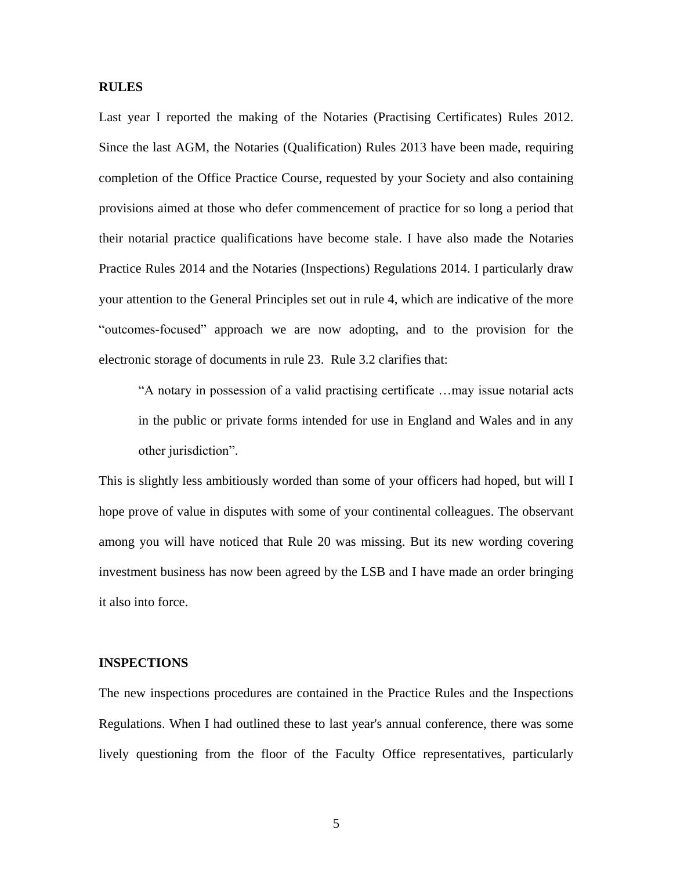# **RULES**

Last year I reported the making of the Notaries (Practising Certificates) Rules 2012. Since the last AGM, the Notaries (Qualification) Rules 2013 have been made, requiring completion of the Office Practice Course, requested by your Society and also containing provisions aimed at those who defer commencement of practice for so long a period that their notarial practice qualifications have become stale. I have also made the Notaries Practice Rules 2014 and the Notaries (Inspections) Regulations 2014. I particularly draw your attention to the General Principles set out in rule 4, which are indicative of the more "outcomes-focused" approach we are now adopting, and to the provision for the electronic storage of documents in rule 23. Rule 3.2 clarifies that:

"A notary in possession of a valid practising certificate …may issue notarial acts in the public or private forms intended for use in England and Wales and in any other jurisdiction".

This is slightly less ambitiously worded than some of your officers had hoped, but will I hope prove of value in disputes with some of your continental colleagues. The observant among you will have noticed that Rule 20 was missing. But its new wording covering investment business has now been agreed by the LSB and I have made an order bringing it also into force.

# **INSPECTIONS**

The new inspections procedures are contained in the Practice Rules and the Inspections Regulations. When I had outlined these to last year's annual conference, there was some lively questioning from the floor of the Faculty Office representatives, particularly

5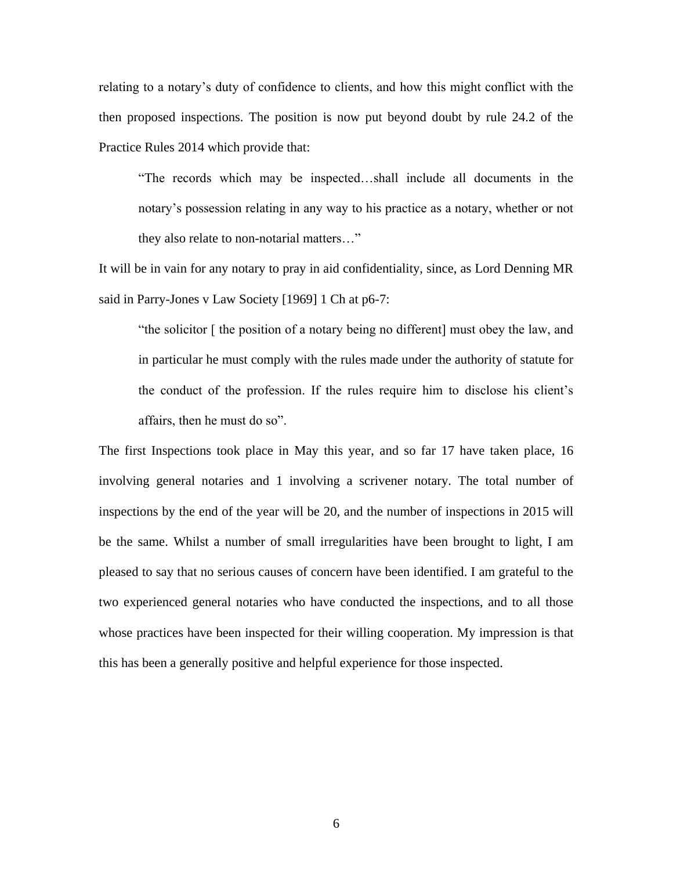relating to a notary's duty of confidence to clients, and how this might conflict with the then proposed inspections. The position is now put beyond doubt by rule 24.2 of the Practice Rules 2014 which provide that:

"The records which may be inspected…shall include all documents in the notary's possession relating in any way to his practice as a notary, whether or not they also relate to non-notarial matters…"

It will be in vain for any notary to pray in aid confidentiality, since, as Lord Denning MR said in Parry-Jones v Law Society [1969] 1 Ch at p6-7:

"the solicitor [ the position of a notary being no different] must obey the law, and in particular he must comply with the rules made under the authority of statute for the conduct of the profession. If the rules require him to disclose his client's affairs, then he must do so".

The first Inspections took place in May this year, and so far 17 have taken place, 16 involving general notaries and 1 involving a scrivener notary. The total number of inspections by the end of the year will be 20, and the number of inspections in 2015 will be the same. Whilst a number of small irregularities have been brought to light, I am pleased to say that no serious causes of concern have been identified. I am grateful to the two experienced general notaries who have conducted the inspections, and to all those whose practices have been inspected for their willing cooperation. My impression is that this has been a generally positive and helpful experience for those inspected.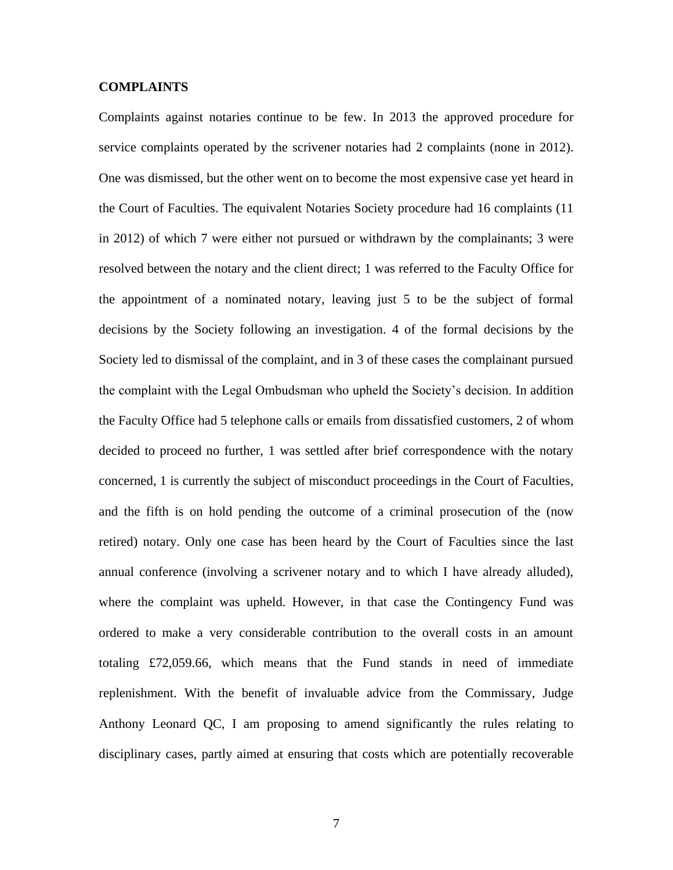# **COMPLAINTS**

Complaints against notaries continue to be few. In 2013 the approved procedure for service complaints operated by the scrivener notaries had 2 complaints (none in 2012). One was dismissed, but the other went on to become the most expensive case yet heard in the Court of Faculties. The equivalent Notaries Society procedure had 16 complaints (11 in 2012) of which 7 were either not pursued or withdrawn by the complainants; 3 were resolved between the notary and the client direct; 1 was referred to the Faculty Office for the appointment of a nominated notary, leaving just 5 to be the subject of formal decisions by the Society following an investigation. 4 of the formal decisions by the Society led to dismissal of the complaint, and in 3 of these cases the complainant pursued the complaint with the Legal Ombudsman who upheld the Society's decision. In addition the Faculty Office had 5 telephone calls or emails from dissatisfied customers, 2 of whom decided to proceed no further, 1 was settled after brief correspondence with the notary concerned, 1 is currently the subject of misconduct proceedings in the Court of Faculties, and the fifth is on hold pending the outcome of a criminal prosecution of the (now retired) notary. Only one case has been heard by the Court of Faculties since the last annual conference (involving a scrivener notary and to which I have already alluded), where the complaint was upheld. However, in that case the Contingency Fund was ordered to make a very considerable contribution to the overall costs in an amount totaling £72,059.66, which means that the Fund stands in need of immediate replenishment. With the benefit of invaluable advice from the Commissary, Judge Anthony Leonard QC, I am proposing to amend significantly the rules relating to disciplinary cases, partly aimed at ensuring that costs which are potentially recoverable